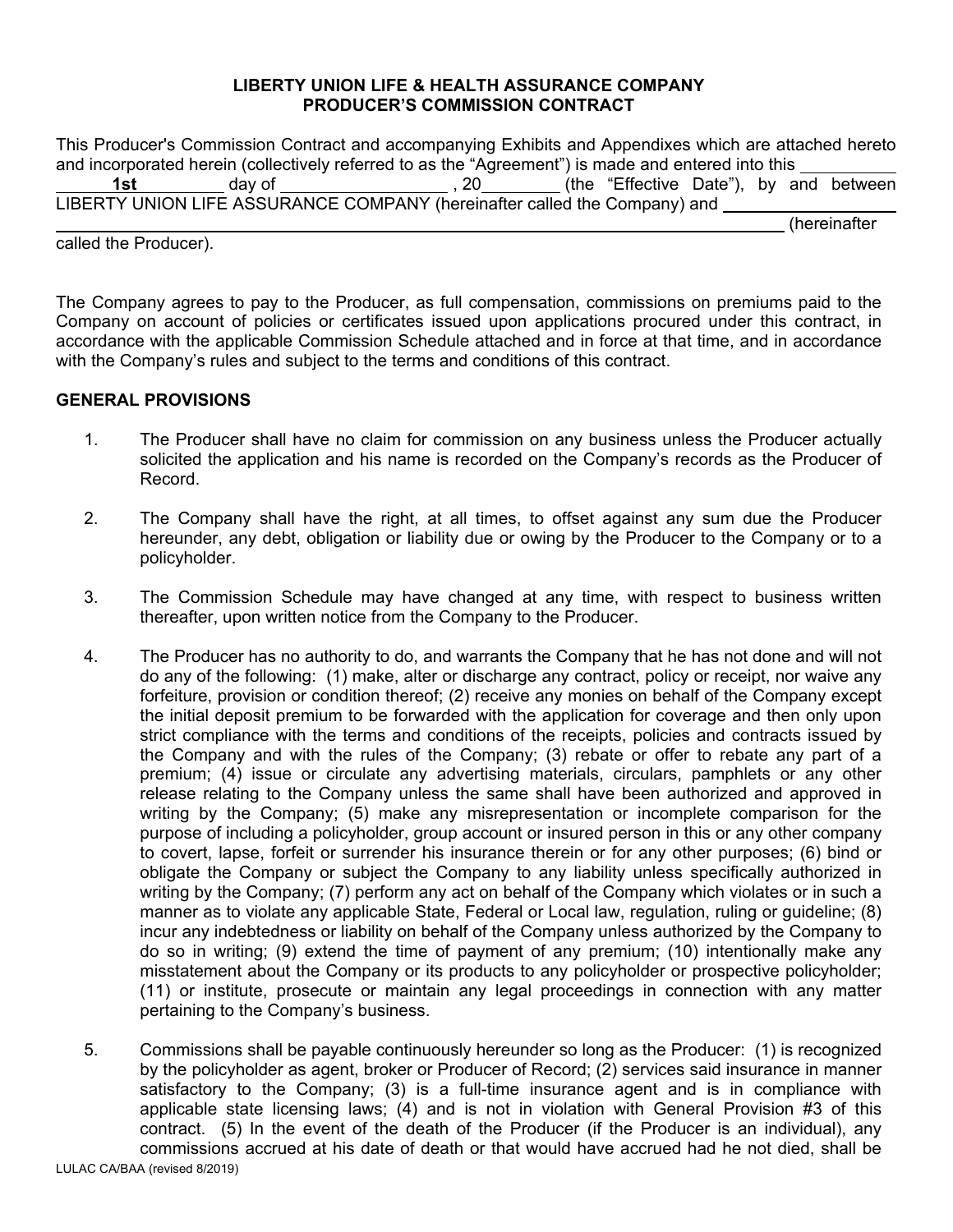#### **LIBERTY UNION LIFE & HEALTH ASSURANCE COMPANY PRODUCER'S COMMISSION CONTRACT**

|                                                                                                     |  | This Producer's Commission Contract and accompanying Exhibits and Appendixes which are attached hereto |  |  |  |  |              |
|-----------------------------------------------------------------------------------------------------|--|--------------------------------------------------------------------------------------------------------|--|--|--|--|--------------|
| and incorporated herein (collectively referred to as the "Agreement") is made and entered into this |  |                                                                                                        |  |  |  |  |              |
| 1st l                                                                                               |  | day of _______________________, 20__________(the "Effective Date"), by and between                     |  |  |  |  |              |
|                                                                                                     |  | LIBERTY UNION LIFE ASSURANCE COMPANY (hereinafter called the Company) and                              |  |  |  |  |              |
|                                                                                                     |  |                                                                                                        |  |  |  |  | (hereinafter |
| called the Producer).                                                                               |  |                                                                                                        |  |  |  |  |              |

The Company agrees to pay to the Producer, as full compensation, commissions on premiums paid to the Company on account of policies or certificates issued upon applications procured under this contract, in accordance with the applicable Commission Schedule attached and in force at that time, and in accordance with the Company's rules and subject to the terms and conditions of this contract.

### **GENERAL PROVISIONS**

- 1. The Producer shall have no claim for commission on any business unless the Producer actually solicited the application and his name is recorded on the Company's records as the Producer of Record.
- 2. The Company shall have the right, at all times, to offset against any sum due the Producer hereunder, any debt, obligation or liability due or owing by the Producer to the Company or to a policyholder.
- 3. The Commission Schedule may have changed at any time, with respect to business written thereafter, upon written notice from the Company to the Producer.
- 4. The Producer has no authority to do, and warrants the Company that he has not done and will not do any of the following: (1) make, alter or discharge any contract, policy or receipt, nor waive any forfeiture, provision or condition thereof; (2) receive any monies on behalf of the Company except the initial deposit premium to be forwarded with the application for coverage and then only upon strict compliance with the terms and conditions of the receipts, policies and contracts issued by the Company and with the rules of the Company; (3) rebate or offer to rebate any part of a premium; (4) issue or circulate any advertising materials, circulars, pamphlets or any other release relating to the Company unless the same shall have been authorized and approved in writing by the Company; (5) make any misrepresentation or incomplete comparison for the purpose of including a policyholder, group account or insured person in this or any other company to covert, lapse, forfeit or surrender his insurance therein or for any other purposes; (6) bind or obligate the Company or subject the Company to any liability unless specifically authorized in writing by the Company; (7) perform any act on behalf of the Company which violates or in such a manner as to violate any applicable State, Federal or Local law, regulation, ruling or guideline; (8) incur any indebtedness or liability on behalf of the Company unless authorized by the Company to do so in writing; (9) extend the time of payment of any premium; (10) intentionally make any misstatement about the Company or its products to any policyholder or prospective policyholder; (11) or institute, prosecute or maintain any legal proceedings in connection with any matter pertaining to the Company's business.
- 5. Commissions shall be payable continuously hereunder so long as the Producer: (1) is recognized by the policyholder as agent, broker or Producer of Record; (2) services said insurance in manner satisfactory to the Company; (3) is a full-time insurance agent and is in compliance with applicable state licensing laws; (4) and is not in violation with General Provision #3 of this contract. (5) In the event of the death of the Producer (if the Producer is an individual), any commissions accrued at his date of death or that would have accrued had he not died, shall be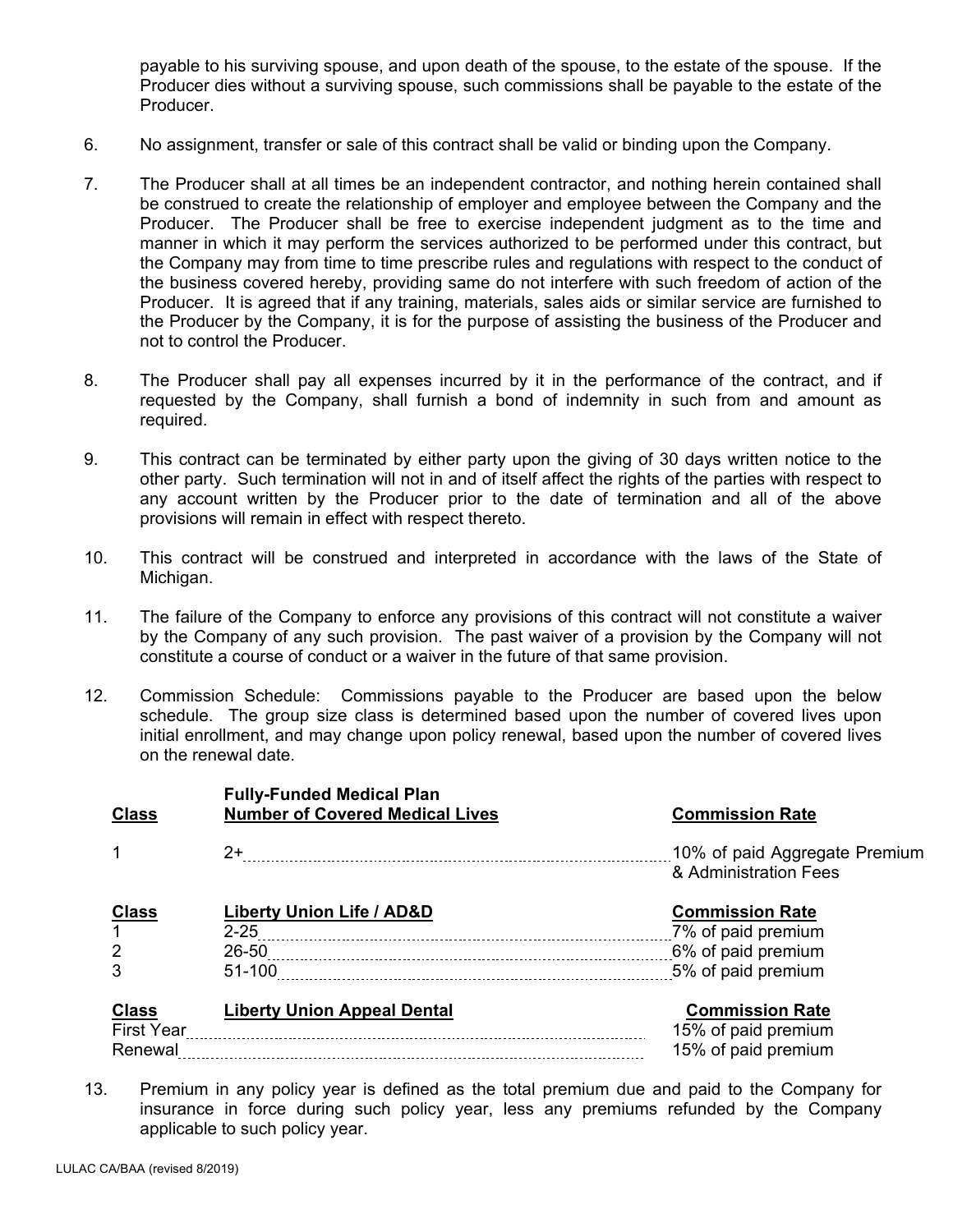payable to his surviving spouse, and upon death of the spouse, to the estate of the spouse. If the Producer dies without a surviving spouse, such commissions shall be payable to the estate of the Producer.

- 6. No assignment, transfer or sale of this contract shall be valid or binding upon the Company.
- 7. The Producer shall at all times be an independent contractor, and nothing herein contained shall be construed to create the relationship of employer and employee between the Company and the Producer. The Producer shall be free to exercise independent judgment as to the time and manner in which it may perform the services authorized to be performed under this contract, but the Company may from time to time prescribe rules and regulations with respect to the conduct of the business covered hereby, providing same do not interfere with such freedom of action of the Producer. It is agreed that if any training, materials, sales aids or similar service are furnished to the Producer by the Company, it is for the purpose of assisting the business of the Producer and not to control the Producer.
- 8. The Producer shall pay all expenses incurred by it in the performance of the contract, and if requested by the Company, shall furnish a bond of indemnity in such from and amount as required.
- 9. This contract can be terminated by either party upon the giving of 30 days written notice to the other party. Such termination will not in and of itself affect the rights of the parties with respect to any account written by the Producer prior to the date of termination and all of the above provisions will remain in effect with respect thereto.
- 10. This contract will be construed and interpreted in accordance with the laws of the State of Michigan.
- 11. The failure of the Company to enforce any provisions of this contract will not constitute a waiver by the Company of any such provision. The past waiver of a provision by the Company will not constitute a course of conduct or a waiver in the future of that same provision.
- 12. Commission Schedule: Commissions payable to the Producer are based upon the below schedule. The group size class is determined based upon the number of covered lives upon initial enrollment, and may change upon policy renewal, based upon the number of covered lives on the renewal date.

| <b>Class</b>                           | <b>Fully-Funded Medical Plan</b><br><b>Number of Covered Medical Lives</b> | <b>Commission Rate</b>                                             |
|----------------------------------------|----------------------------------------------------------------------------|--------------------------------------------------------------------|
|                                        | $2+$                                                                       | & Administration Fees                                              |
| <b>Class</b><br>2                      | Liberty Union Life / AD&D                                                  | <b>Commission Rate</b><br>7% of paid premium<br>6% of paid premium |
| 3<br><b>Class</b><br><b>First Year</b> | 51-100<br><b>Liberty Union Appeal Dental</b>                               | <b>Commission Rate</b><br>15% of paid premium                      |
| Renewal                                |                                                                            | 15% of paid premium                                                |

13. Premium in any policy year is defined as the total premium due and paid to the Company for insurance in force during such policy year, less any premiums refunded by the Company applicable to such policy year.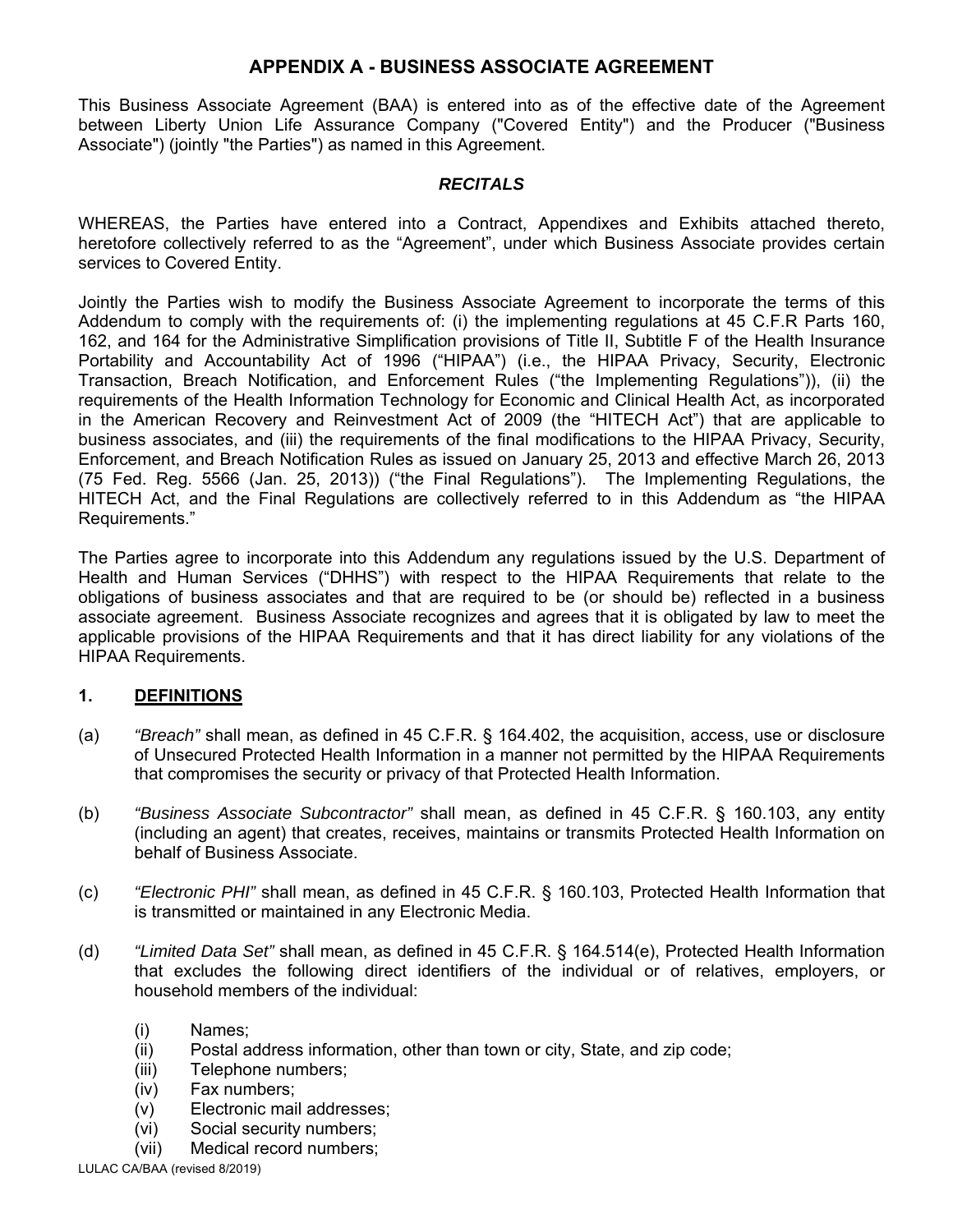# **APPENDIX A - BUSINESS ASSOCIATE AGREEMENT**

This Business Associate Agreement (BAA) is entered into as of the effective date of the Agreement between Liberty Union Life Assurance Company ("Covered Entity") and the Producer ("Business Associate") (jointly "the Parties") as named in this Agreement.

### *RECITALS*

WHEREAS, the Parties have entered into a Contract, Appendixes and Exhibits attached thereto, heretofore collectively referred to as the "Agreement", under which Business Associate provides certain services to Covered Entity.

Jointly the Parties wish to modify the Business Associate Agreement to incorporate the terms of this Addendum to comply with the requirements of: (i) the implementing regulations at 45 C.F.R Parts 160, 162, and 164 for the Administrative Simplification provisions of Title II, Subtitle F of the Health Insurance Portability and Accountability Act of 1996 ("HIPAA") (i.e., the HIPAA Privacy, Security, Electronic Transaction, Breach Notification, and Enforcement Rules ("the Implementing Regulations")), (ii) the requirements of the Health Information Technology for Economic and Clinical Health Act, as incorporated in the American Recovery and Reinvestment Act of 2009 (the "HITECH Act") that are applicable to business associates, and (iii) the requirements of the final modifications to the HIPAA Privacy, Security, Enforcement, and Breach Notification Rules as issued on January 25, 2013 and effective March 26, 2013 (75 Fed. Reg. 5566 (Jan. 25, 2013)) ("the Final Regulations"). The Implementing Regulations, the HITECH Act, and the Final Regulations are collectively referred to in this Addendum as "the HIPAA Requirements."

The Parties agree to incorporate into this Addendum any regulations issued by the U.S. Department of Health and Human Services ("DHHS") with respect to the HIPAA Requirements that relate to the obligations of business associates and that are required to be (or should be) reflected in a business associate agreement. Business Associate recognizes and agrees that it is obligated by law to meet the applicable provisions of the HIPAA Requirements and that it has direct liability for any violations of the HIPAA Requirements.

# **1. DEFINITIONS**

- (a) *"Breach"* shall mean, as defined in 45 C.F.R. § 164.402, the acquisition, access, use or disclosure of Unsecured Protected Health Information in a manner not permitted by the HIPAA Requirements that compromises the security or privacy of that Protected Health Information.
- (b) *"Business Associate Subcontractor"* shall mean, as defined in 45 C.F.R. § 160.103, any entity (including an agent) that creates, receives, maintains or transmits Protected Health Information on behalf of Business Associate.
- (c) *"Electronic PHI"* shall mean, as defined in 45 C.F.R. § 160.103, Protected Health Information that is transmitted or maintained in any Electronic Media.
- (d) *"Limited Data Set"* shall mean, as defined in 45 C.F.R. § 164.514(e), Protected Health Information that excludes the following direct identifiers of the individual or of relatives, employers, or household members of the individual:
	- (i) Names;
	- (ii) Postal address information, other than town or city, State, and zip code;
	- (iii) Telephone numbers;
	- (iv) Fax numbers;
	- (v) Electronic mail addresses;
	- (vi) Social security numbers;
	- (vii) Medical record numbers;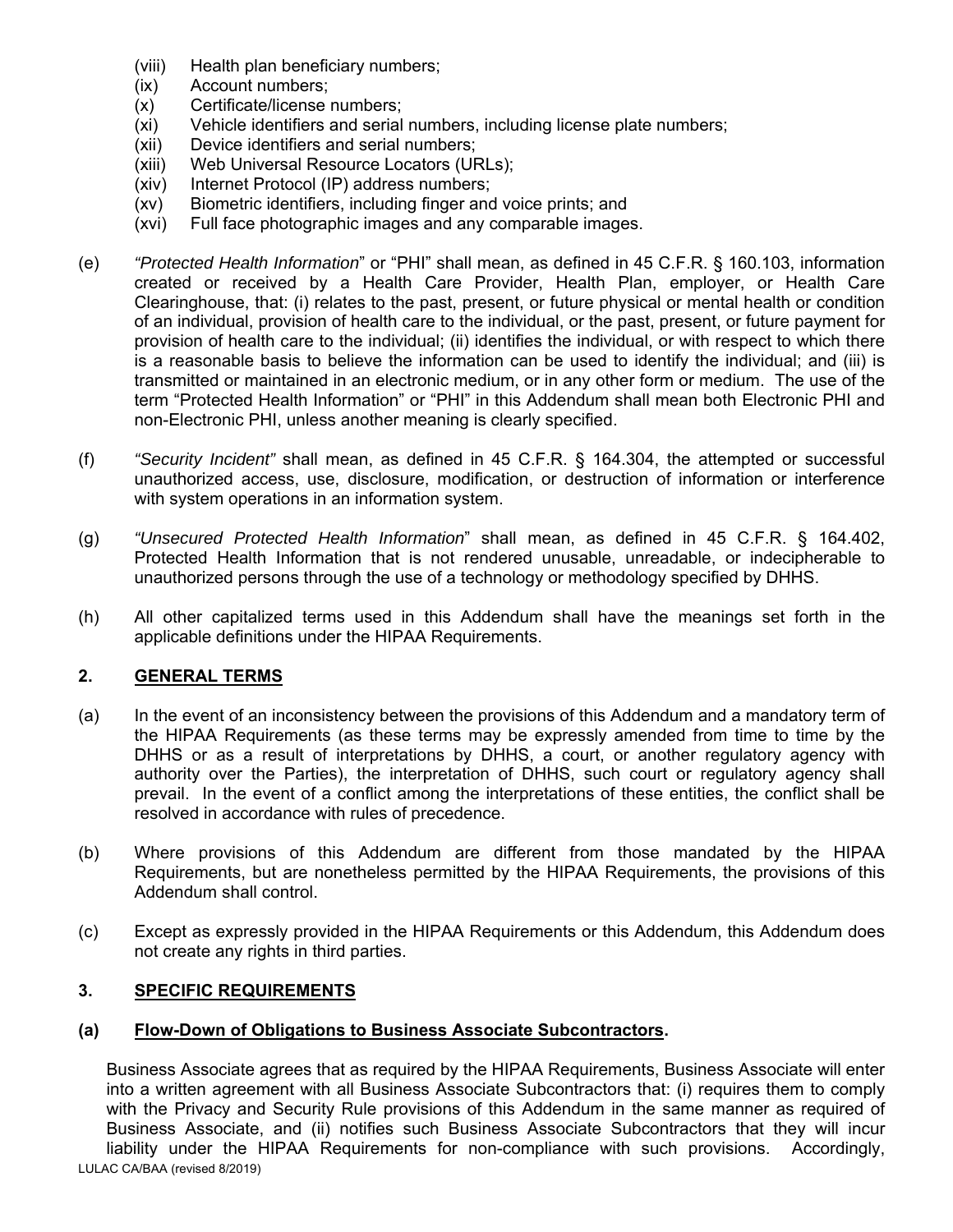- (viii) Health plan beneficiary numbers;
- (ix) Account numbers;
- (x) Certificate/license numbers;
- (xi) Vehicle identifiers and serial numbers, including license plate numbers;
- (xii) Device identifiers and serial numbers;
- (xiii) Web Universal Resource Locators (URLs);
- (xiv) Internet Protocol (IP) address numbers;
- (xv) Biometric identifiers, including finger and voice prints; and
- (xvi) Full face photographic images and any comparable images.
- (e) *"Protected Health Information*" or "PHI" shall mean, as defined in 45 C.F.R. § 160.103, information created or received by a Health Care Provider, Health Plan, employer, or Health Care Clearinghouse, that: (i) relates to the past, present, or future physical or mental health or condition of an individual, provision of health care to the individual, or the past, present, or future payment for provision of health care to the individual; (ii) identifies the individual, or with respect to which there is a reasonable basis to believe the information can be used to identify the individual; and (iii) is transmitted or maintained in an electronic medium, or in any other form or medium. The use of the term "Protected Health Information" or "PHI" in this Addendum shall mean both Electronic PHI and non-Electronic PHI, unless another meaning is clearly specified.
- (f) *"Security Incident"* shall mean, as defined in 45 C.F.R. § 164.304, the attempted or successful unauthorized access, use, disclosure, modification, or destruction of information or interference with system operations in an information system.
- (g) *"Unsecured Protected Health Information*" shall mean, as defined in 45 C.F.R. § 164.402, Protected Health Information that is not rendered unusable, unreadable, or indecipherable to unauthorized persons through the use of a technology or methodology specified by DHHS.
- (h) All other capitalized terms used in this Addendum shall have the meanings set forth in the applicable definitions under the HIPAA Requirements.

# **2. GENERAL TERMS**

- (a) In the event of an inconsistency between the provisions of this Addendum and a mandatory term of the HIPAA Requirements (as these terms may be expressly amended from time to time by the DHHS or as a result of interpretations by DHHS, a court, or another regulatory agency with authority over the Parties), the interpretation of DHHS, such court or regulatory agency shall prevail. In the event of a conflict among the interpretations of these entities, the conflict shall be resolved in accordance with rules of precedence.
- (b) Where provisions of this Addendum are different from those mandated by the HIPAA Requirements, but are nonetheless permitted by the HIPAA Requirements, the provisions of this Addendum shall control.
- (c) Except as expressly provided in the HIPAA Requirements or this Addendum, this Addendum does not create any rights in third parties.

# **3. SPECIFIC REQUIREMENTS**

#### **(a) Flow-Down of Obligations to Business Associate Subcontractors.**

LULAC CA/BAA (revised 8/2019) Business Associate agrees that as required by the HIPAA Requirements, Business Associate will enter into a written agreement with all Business Associate Subcontractors that: (i) requires them to comply with the Privacy and Security Rule provisions of this Addendum in the same manner as required of Business Associate, and (ii) notifies such Business Associate Subcontractors that they will incur liability under the HIPAA Requirements for non-compliance with such provisions. Accordingly,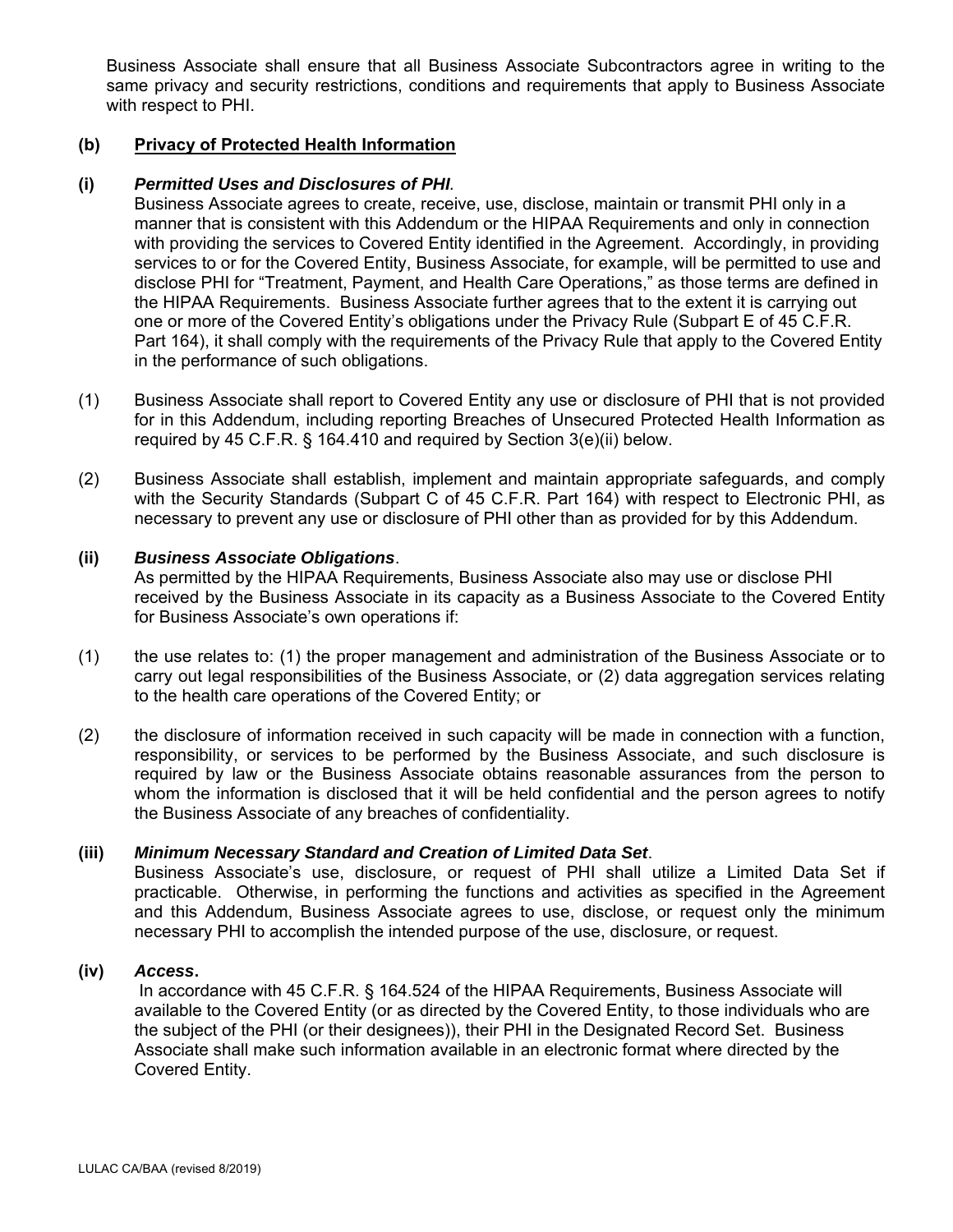Business Associate shall ensure that all Business Associate Subcontractors agree in writing to the same privacy and security restrictions, conditions and requirements that apply to Business Associate with respect to PHI.

### **(b) Privacy of Protected Health Information**

#### **(i)** *Permitted Uses and Disclosures of PHI.*

 Business Associate agrees to create, receive, use, disclose, maintain or transmit PHI only in a manner that is consistent with this Addendum or the HIPAA Requirements and only in connection with providing the services to Covered Entity identified in the Agreement. Accordingly, in providing services to or for the Covered Entity, Business Associate, for example, will be permitted to use and disclose PHI for "Treatment, Payment, and Health Care Operations," as those terms are defined in the HIPAA Requirements. Business Associate further agrees that to the extent it is carrying out one or more of the Covered Entity's obligations under the Privacy Rule (Subpart E of 45 C.F.R. Part 164), it shall comply with the requirements of the Privacy Rule that apply to the Covered Entity in the performance of such obligations.

- (1) Business Associate shall report to Covered Entity any use or disclosure of PHI that is not provided for in this Addendum, including reporting Breaches of Unsecured Protected Health Information as required by 45 C.F.R. § 164.410 and required by Section 3(e)(ii) below.
- (2) Business Associate shall establish, implement and maintain appropriate safeguards, and comply with the Security Standards (Subpart C of 45 C.F.R. Part 164) with respect to Electronic PHI, as necessary to prevent any use or disclosure of PHI other than as provided for by this Addendum.

### **(ii)** *Business Associate Obligations*.

 As permitted by the HIPAA Requirements, Business Associate also may use or disclose PHI received by the Business Associate in its capacity as a Business Associate to the Covered Entity for Business Associate's own operations if:

- (1) the use relates to: (1) the proper management and administration of the Business Associate or to carry out legal responsibilities of the Business Associate, or (2) data aggregation services relating to the health care operations of the Covered Entity; or
- (2) the disclosure of information received in such capacity will be made in connection with a function, responsibility, or services to be performed by the Business Associate, and such disclosure is required by law or the Business Associate obtains reasonable assurances from the person to whom the information is disclosed that it will be held confidential and the person agrees to notify the Business Associate of any breaches of confidentiality.

#### **(iii)** *Minimum Necessary Standard and Creation of Limited Data Set*.

 Business Associate's use, disclosure, or request of PHI shall utilize a Limited Data Set if practicable. Otherwise, in performing the functions and activities as specified in the Agreement and this Addendum, Business Associate agrees to use, disclose, or request only the minimum necessary PHI to accomplish the intended purpose of the use, disclosure, or request.

# **(iv)** *Access***.**

 In accordance with 45 C.F.R. § 164.524 of the HIPAA Requirements, Business Associate will available to the Covered Entity (or as directed by the Covered Entity, to those individuals who are the subject of the PHI (or their designees)), their PHI in the Designated Record Set. Business Associate shall make such information available in an electronic format where directed by the Covered Entity.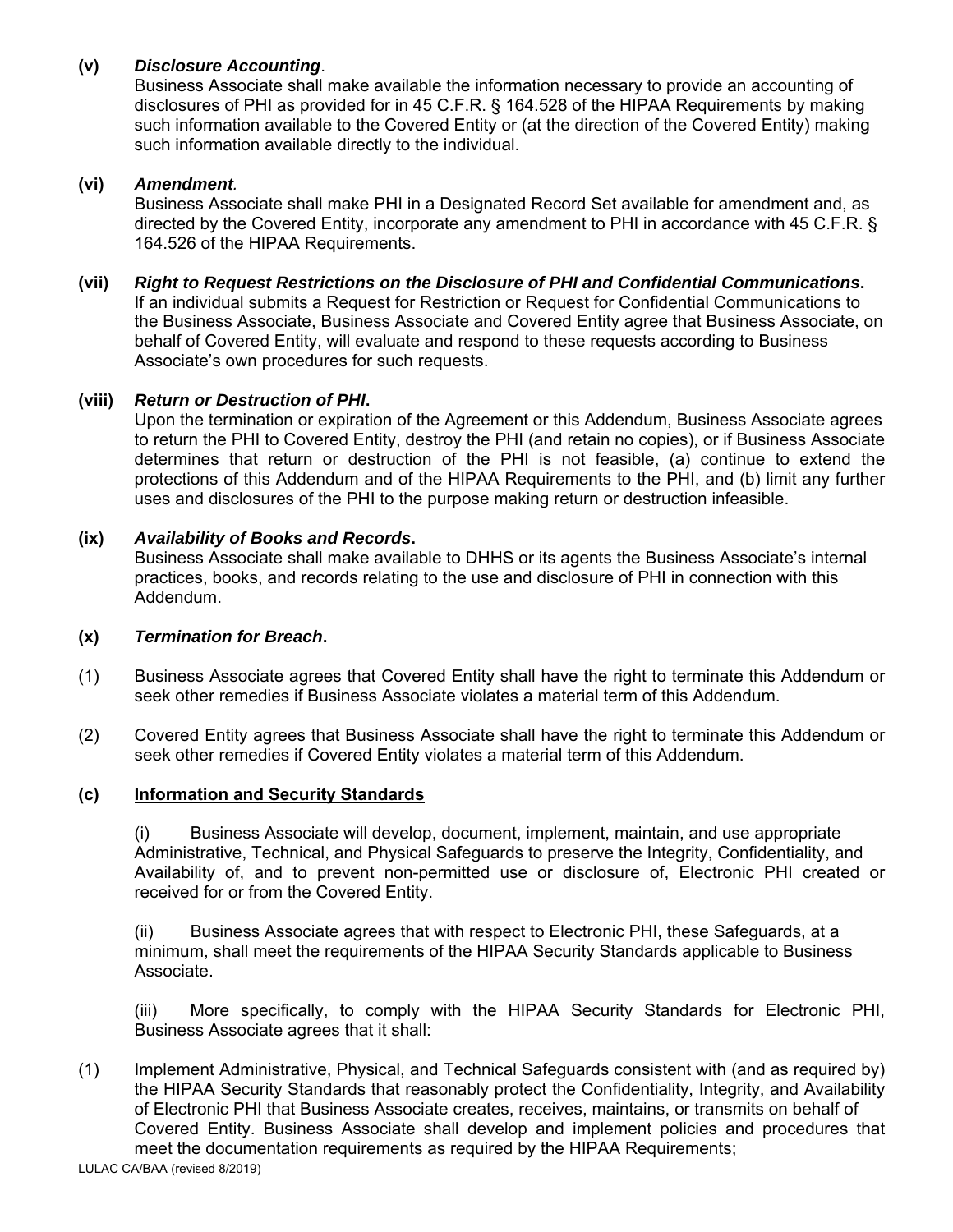# **(v)** *Disclosure Accounting*.

 Business Associate shall make available the information necessary to provide an accounting of disclosures of PHI as provided for in 45 C.F.R. § 164.528 of the HIPAA Requirements by making such information available to the Covered Entity or (at the direction of the Covered Entity) making such information available directly to the individual.

### **(vi)** *Amendment.*

 Business Associate shall make PHI in a Designated Record Set available for amendment and, as directed by the Covered Entity, incorporate any amendment to PHI in accordance with 45 C.F.R. § 164.526 of the HIPAA Requirements.

# **(vii)** *Right to Request Restrictions on the Disclosure of PHI and Confidential Communications***.**

If an individual submits a Request for Restriction or Request for Confidential Communications to the Business Associate, Business Associate and Covered Entity agree that Business Associate, on behalf of Covered Entity, will evaluate and respond to these requests according to Business Associate's own procedures for such requests.

# **(viii)** *Return or Destruction of PHI***.**

 Upon the termination or expiration of the Agreement or this Addendum, Business Associate agrees to return the PHI to Covered Entity, destroy the PHI (and retain no copies), or if Business Associate determines that return or destruction of the PHI is not feasible, (a) continue to extend the protections of this Addendum and of the HIPAA Requirements to the PHI, and (b) limit any further uses and disclosures of the PHI to the purpose making return or destruction infeasible.

# **(ix)** *Availability of Books and Records***.**

 Business Associate shall make available to DHHS or its agents the Business Associate's internal practices, books, and records relating to the use and disclosure of PHI in connection with this Addendum.

#### **(x)** *Termination for Breach***.**

- (1) Business Associate agrees that Covered Entity shall have the right to terminate this Addendum or seek other remedies if Business Associate violates a material term of this Addendum.
- (2) Covered Entity agrees that Business Associate shall have the right to terminate this Addendum or seek other remedies if Covered Entity violates a material term of this Addendum.

# **(c) Information and Security Standards**

 (i) Business Associate will develop, document, implement, maintain, and use appropriate Administrative, Technical, and Physical Safeguards to preserve the Integrity, Confidentiality, and Availability of, and to prevent non-permitted use or disclosure of, Electronic PHI created or received for or from the Covered Entity.

 (ii) Business Associate agrees that with respect to Electronic PHI, these Safeguards, at a minimum, shall meet the requirements of the HIPAA Security Standards applicable to Business Associate.

 (iii) More specifically, to comply with the HIPAA Security Standards for Electronic PHI, Business Associate agrees that it shall:

(1) Implement Administrative, Physical, and Technical Safeguards consistent with (and as required by) the HIPAA Security Standards that reasonably protect the Confidentiality, Integrity, and Availability of Electronic PHI that Business Associate creates, receives, maintains, or transmits on behalf of Covered Entity. Business Associate shall develop and implement policies and procedures that meet the documentation requirements as required by the HIPAA Requirements;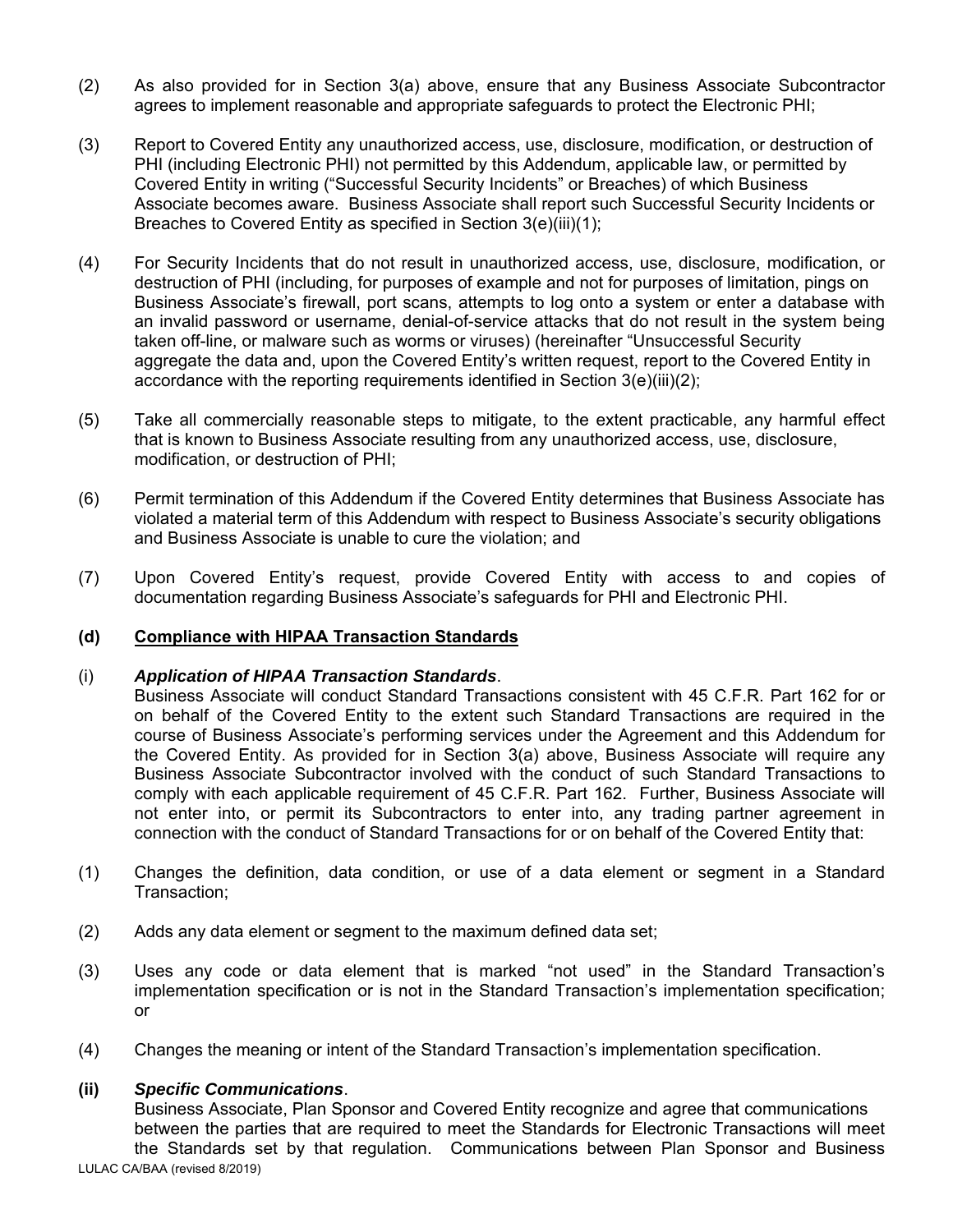- (2) As also provided for in Section 3(a) above, ensure that any Business Associate Subcontractor agrees to implement reasonable and appropriate safeguards to protect the Electronic PHI;
- (3) Report to Covered Entity any unauthorized access, use, disclosure, modification, or destruction of PHI (including Electronic PHI) not permitted by this Addendum, applicable law, or permitted by Covered Entity in writing ("Successful Security Incidents" or Breaches) of which Business Associate becomes aware. Business Associate shall report such Successful Security Incidents or Breaches to Covered Entity as specified in Section 3(e)(iii)(1);
- (4) For Security Incidents that do not result in unauthorized access, use, disclosure, modification, or destruction of PHI (including, for purposes of example and not for purposes of limitation, pings on Business Associate's firewall, port scans, attempts to log onto a system or enter a database with an invalid password or username, denial-of-service attacks that do not result in the system being taken off-line, or malware such as worms or viruses) (hereinafter "Unsuccessful Security aggregate the data and, upon the Covered Entity's written request, report to the Covered Entity in accordance with the reporting requirements identified in Section 3(e)(iii)(2);
- (5) Take all commercially reasonable steps to mitigate, to the extent practicable, any harmful effect that is known to Business Associate resulting from any unauthorized access, use, disclosure, modification, or destruction of PHI;
- (6) Permit termination of this Addendum if the Covered Entity determines that Business Associate has violated a material term of this Addendum with respect to Business Associate's security obligations and Business Associate is unable to cure the violation; and
- (7) Upon Covered Entity's request, provide Covered Entity with access to and copies of documentation regarding Business Associate's safeguards for PHI and Electronic PHI.

# **(d) Compliance with HIPAA Transaction Standards**

#### (i) *Application of HIPAA Transaction Standards*.

 Business Associate will conduct Standard Transactions consistent with 45 C.F.R. Part 162 for or on behalf of the Covered Entity to the extent such Standard Transactions are required in the course of Business Associate's performing services under the Agreement and this Addendum for the Covered Entity. As provided for in Section 3(a) above, Business Associate will require any Business Associate Subcontractor involved with the conduct of such Standard Transactions to comply with each applicable requirement of 45 C.F.R. Part 162. Further, Business Associate will not enter into, or permit its Subcontractors to enter into, any trading partner agreement in connection with the conduct of Standard Transactions for or on behalf of the Covered Entity that:

- (1) Changes the definition, data condition, or use of a data element or segment in a Standard Transaction;
- (2) Adds any data element or segment to the maximum defined data set;
- (3) Uses any code or data element that is marked "not used" in the Standard Transaction's implementation specification or is not in the Standard Transaction's implementation specification; or
- (4) Changes the meaning or intent of the Standard Transaction's implementation specification.

#### **(ii)** *Specific Communications*.

 Business Associate, Plan Sponsor and Covered Entity recognize and agree that communications between the parties that are required to meet the Standards for Electronic Transactions will meet the Standards set by that regulation. Communications between Plan Sponsor and Business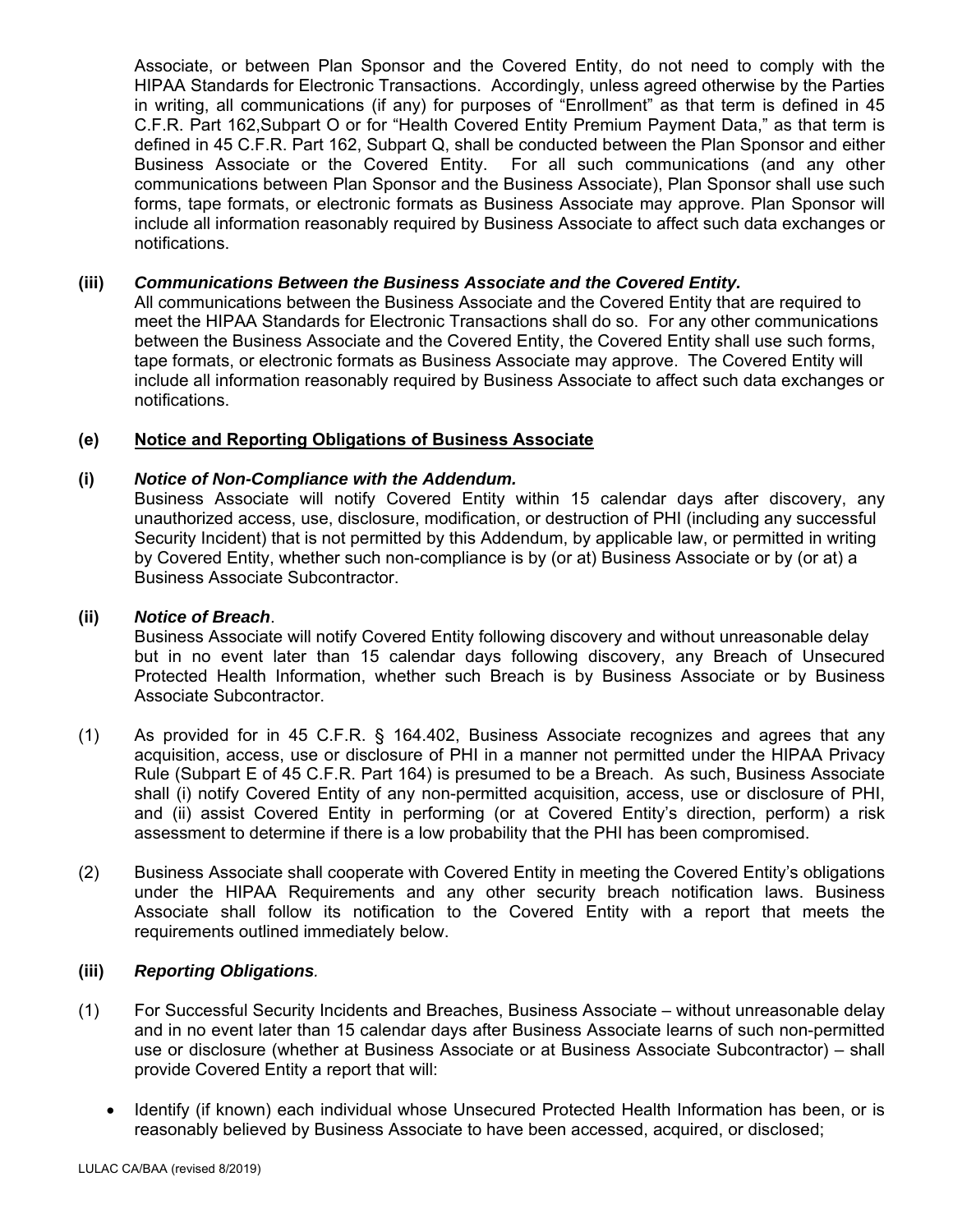Associate, or between Plan Sponsor and the Covered Entity, do not need to comply with the HIPAA Standards for Electronic Transactions. Accordingly, unless agreed otherwise by the Parties in writing, all communications (if any) for purposes of "Enrollment" as that term is defined in 45 C.F.R. Part 162,Subpart O or for "Health Covered Entity Premium Payment Data," as that term is defined in 45 C.F.R. Part 162, Subpart Q, shall be conducted between the Plan Sponsor and either Business Associate or the Covered Entity. For all such communications (and any other communications between Plan Sponsor and the Business Associate), Plan Sponsor shall use such forms, tape formats, or electronic formats as Business Associate may approve. Plan Sponsor will include all information reasonably required by Business Associate to affect such data exchanges or notifications.

# **(iii)** *Communications Between the Business Associate and the Covered Entity.*

 All communications between the Business Associate and the Covered Entity that are required to meet the HIPAA Standards for Electronic Transactions shall do so. For any other communications between the Business Associate and the Covered Entity, the Covered Entity shall use such forms, tape formats, or electronic formats as Business Associate may approve. The Covered Entity will include all information reasonably required by Business Associate to affect such data exchanges or notifications.

### **(e) Notice and Reporting Obligations of Business Associate**

### **(i)** *Notice of Non-Compliance with the Addendum.*

 Business Associate will notify Covered Entity within 15 calendar days after discovery, any unauthorized access, use, disclosure, modification, or destruction of PHI (including any successful Security Incident) that is not permitted by this Addendum, by applicable law, or permitted in writing by Covered Entity, whether such non-compliance is by (or at) Business Associate or by (or at) a Business Associate Subcontractor.

#### **(ii)** *Notice of Breach*.

 Business Associate will notify Covered Entity following discovery and without unreasonable delay but in no event later than 15 calendar days following discovery, any Breach of Unsecured Protected Health Information, whether such Breach is by Business Associate or by Business Associate Subcontractor.

- (1) As provided for in 45 C.F.R. § 164.402, Business Associate recognizes and agrees that any acquisition, access, use or disclosure of PHI in a manner not permitted under the HIPAA Privacy Rule (Subpart E of 45 C.F.R. Part 164) is presumed to be a Breach. As such, Business Associate shall (i) notify Covered Entity of any non-permitted acquisition, access, use or disclosure of PHI, and (ii) assist Covered Entity in performing (or at Covered Entity's direction, perform) a risk assessment to determine if there is a low probability that the PHI has been compromised.
- (2) Business Associate shall cooperate with Covered Entity in meeting the Covered Entity's obligations under the HIPAA Requirements and any other security breach notification laws. Business Associate shall follow its notification to the Covered Entity with a report that meets the requirements outlined immediately below.

### **(iii)** *Reporting Obligations.*

- (1) For Successful Security Incidents and Breaches, Business Associate without unreasonable delay and in no event later than 15 calendar days after Business Associate learns of such non-permitted use or disclosure (whether at Business Associate or at Business Associate Subcontractor) – shall provide Covered Entity a report that will:
	- Identify (if known) each individual whose Unsecured Protected Health Information has been, or is reasonably believed by Business Associate to have been accessed, acquired, or disclosed;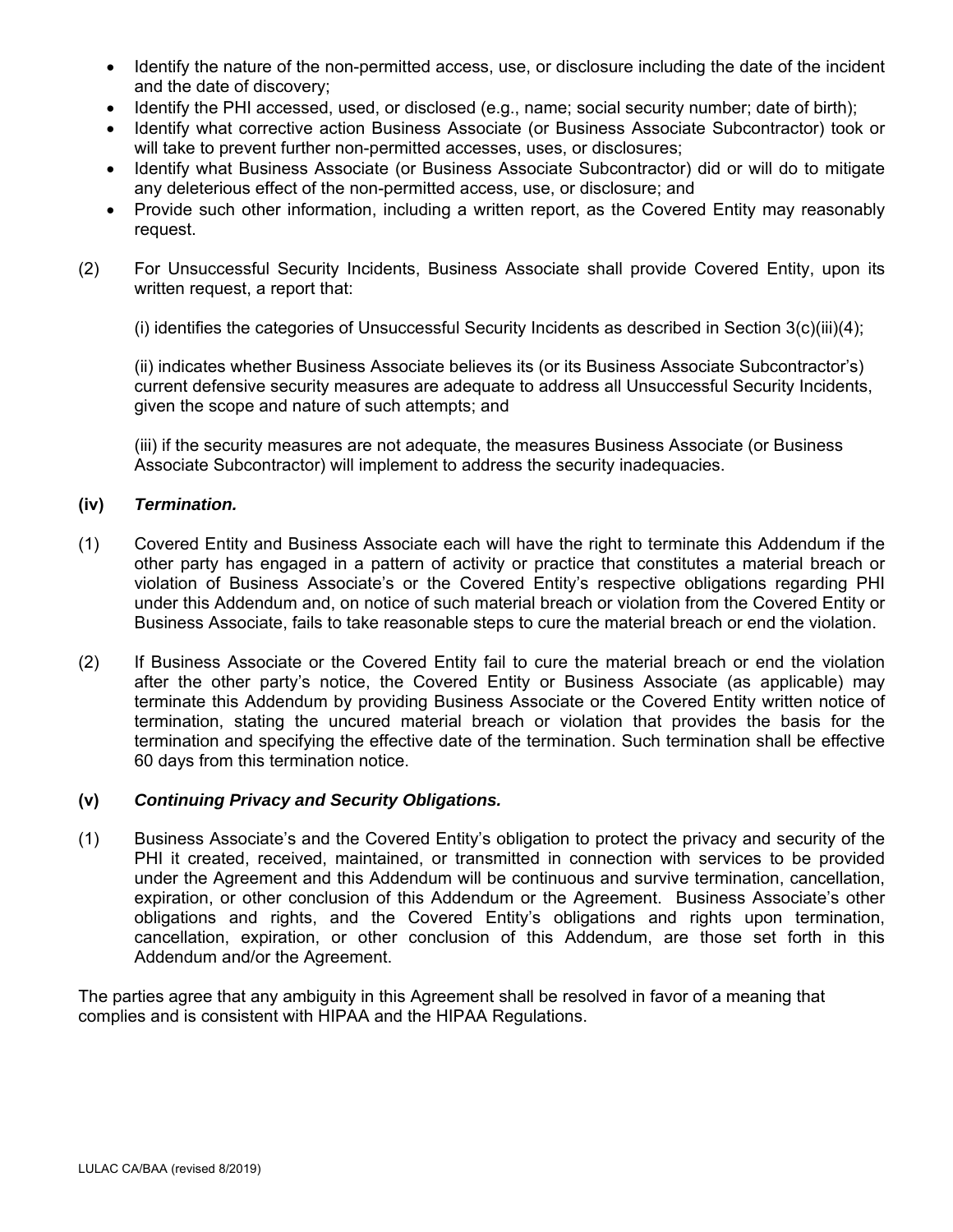- Identify the nature of the non-permitted access, use, or disclosure including the date of the incident and the date of discovery;
- Identify the PHI accessed, used, or disclosed (e.g., name; social security number; date of birth);
- Identify what corrective action Business Associate (or Business Associate Subcontractor) took or will take to prevent further non-permitted accesses, uses, or disclosures;
- Identify what Business Associate (or Business Associate Subcontractor) did or will do to mitigate any deleterious effect of the non-permitted access, use, or disclosure; and
- Provide such other information, including a written report, as the Covered Entity may reasonably request.
- (2) For Unsuccessful Security Incidents, Business Associate shall provide Covered Entity, upon its written request, a report that:

(i) identifies the categories of Unsuccessful Security Incidents as described in Section 3(c)(iii)(4);

 (ii) indicates whether Business Associate believes its (or its Business Associate Subcontractor's) current defensive security measures are adequate to address all Unsuccessful Security Incidents, given the scope and nature of such attempts; and

 (iii) if the security measures are not adequate, the measures Business Associate (or Business Associate Subcontractor) will implement to address the security inadequacies.

### **(iv)** *Termination.*

- (1) Covered Entity and Business Associate each will have the right to terminate this Addendum if the other party has engaged in a pattern of activity or practice that constitutes a material breach or violation of Business Associate's or the Covered Entity's respective obligations regarding PHI under this Addendum and, on notice of such material breach or violation from the Covered Entity or Business Associate, fails to take reasonable steps to cure the material breach or end the violation.
- (2) If Business Associate or the Covered Entity fail to cure the material breach or end the violation after the other party's notice, the Covered Entity or Business Associate (as applicable) may terminate this Addendum by providing Business Associate or the Covered Entity written notice of termination, stating the uncured material breach or violation that provides the basis for the termination and specifying the effective date of the termination. Such termination shall be effective 60 days from this termination notice.

#### **(v)** *Continuing Privacy and Security Obligations.*

(1) Business Associate's and the Covered Entity's obligation to protect the privacy and security of the PHI it created, received, maintained, or transmitted in connection with services to be provided under the Agreement and this Addendum will be continuous and survive termination, cancellation, expiration, or other conclusion of this Addendum or the Agreement. Business Associate's other obligations and rights, and the Covered Entity's obligations and rights upon termination, cancellation, expiration, or other conclusion of this Addendum, are those set forth in this Addendum and/or the Agreement.

The parties agree that any ambiguity in this Agreement shall be resolved in favor of a meaning that complies and is consistent with HIPAA and the HIPAA Regulations.